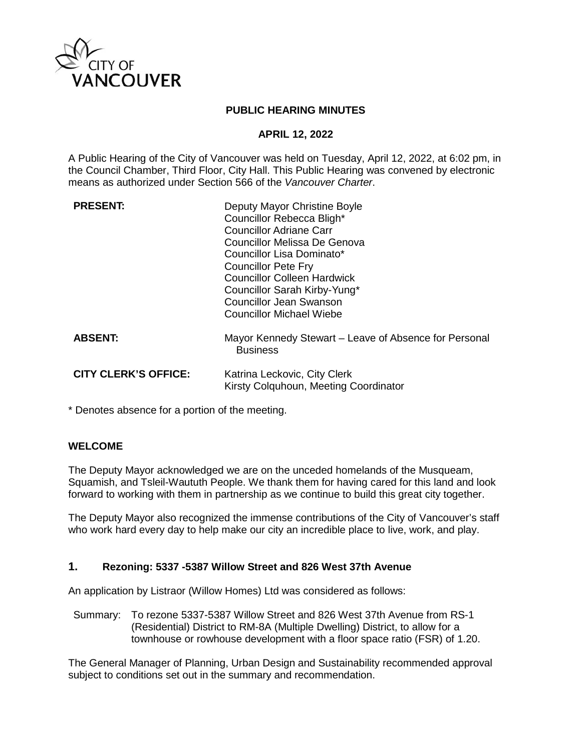

#### **PUBLIC HEARING MINUTES**

#### **APRIL 12, 2022**

A Public Hearing of the City of Vancouver was held on Tuesday, April 12, 2022, at 6:02 pm, in the Council Chamber, Third Floor, City Hall. This Public Hearing was convened by electronic means as authorized under Section 566 of the *Vancouver Charter*.

| <b>PRESENT:</b>             | Deputy Mayor Christine Boyle<br>Councillor Rebecca Bligh*<br>Councillor Adriane Carr<br>Councillor Melissa De Genova<br>Councillor Lisa Dominato*<br><b>Councillor Pete Fry</b><br><b>Councillor Colleen Hardwick</b><br>Councillor Sarah Kirby-Yung*<br><b>Councillor Jean Swanson</b><br>Councillor Michael Wiebe |
|-----------------------------|---------------------------------------------------------------------------------------------------------------------------------------------------------------------------------------------------------------------------------------------------------------------------------------------------------------------|
| <b>ABSENT:</b>              | Mayor Kennedy Stewart – Leave of Absence for Personal<br><b>Business</b>                                                                                                                                                                                                                                            |
| <b>CITY CLERK'S OFFICE:</b> | Katrina Leckovic, City Clerk<br>Kirsty Colquhoun, Meeting Coordinator                                                                                                                                                                                                                                               |

\* Denotes absence for a portion of the meeting.

# **WELCOME**

The Deputy Mayor acknowledged we are on the unceded homelands of the Musqueam, Squamish, and Tsleil-Waututh People. We thank them for having cared for this land and look forward to working with them in partnership as we continue to build this great city together.

The Deputy Mayor also recognized the immense contributions of the City of Vancouver's staff who work hard every day to help make our city an incredible place to live, work, and play.

#### **1. Rezoning: 5337 -5387 Willow Street and 826 West 37th Avenue**

An application by Listraor (Willow Homes) Ltd was considered as follows:

Summary: To rezone 5337-5387 Willow Street and 826 West 37th Avenue from RS-1 (Residential) District to RM-8A (Multiple Dwelling) District, to allow for a townhouse or rowhouse development with a floor space ratio (FSR) of 1.20.

The General Manager of Planning, Urban Design and Sustainability recommended approval subject to conditions set out in the summary and recommendation.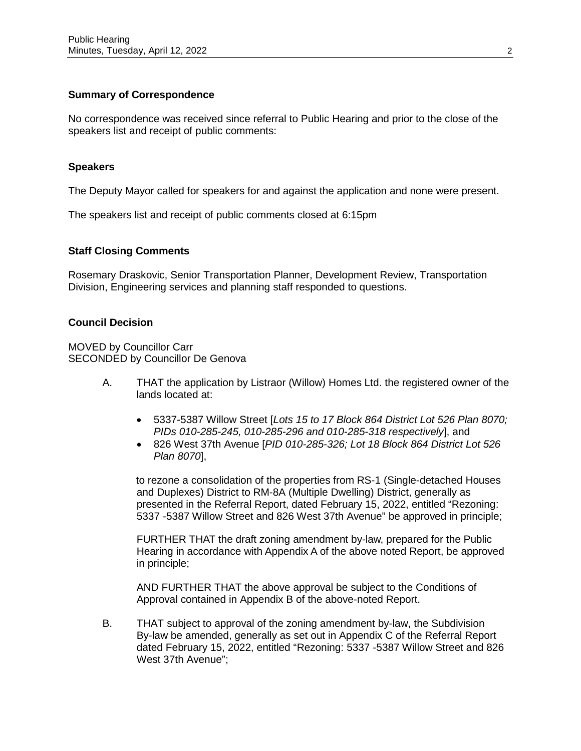#### **Summary of Correspondence**

No correspondence was received since referral to Public Hearing and prior to the close of the speakers list and receipt of public comments:

#### **Speakers**

The Deputy Mayor called for speakers for and against the application and none were present.

The speakers list and receipt of public comments closed at 6:15pm

#### **Staff Closing Comments**

Rosemary Draskovic, Senior Transportation Planner, Development Review, Transportation Division, Engineering services and planning staff responded to questions.

#### **Council Decision**

MOVED by Councillor Carr SECONDED by Councillor De Genova

- A. THAT the application by Listraor (Willow) Homes Ltd. the registered owner of the lands located at:
	- 5337-5387 Willow Street [*Lots 15 to 17 Block 864 District Lot 526 Plan 8070; PIDs 010-285-245, 010-285-296 and 010-285-318 respectively*], and
	- 826 West 37th Avenue [*PID 010-285-326; Lot 18 Block 864 District Lot 526 Plan 8070*],

to rezone a consolidation of the properties from RS-1 (Single-detached Houses and Duplexes) District to RM-8A (Multiple Dwelling) District, generally as presented in the Referral Report, dated February 15, 2022, entitled "Rezoning: 5337 -5387 Willow Street and 826 West 37th Avenue" be approved in principle;

FURTHER THAT the draft zoning amendment by-law, prepared for the Public Hearing in accordance with Appendix A of the above noted Report, be approved in principle;

AND FURTHER THAT the above approval be subject to the Conditions of Approval contained in Appendix B of the above-noted Report.

B. THAT subject to approval of the zoning amendment by-law, the Subdivision By-law be amended, generally as set out in Appendix C of the Referral Report dated February 15, 2022, entitled "Rezoning: 5337 -5387 Willow Street and 826 West 37th Avenue";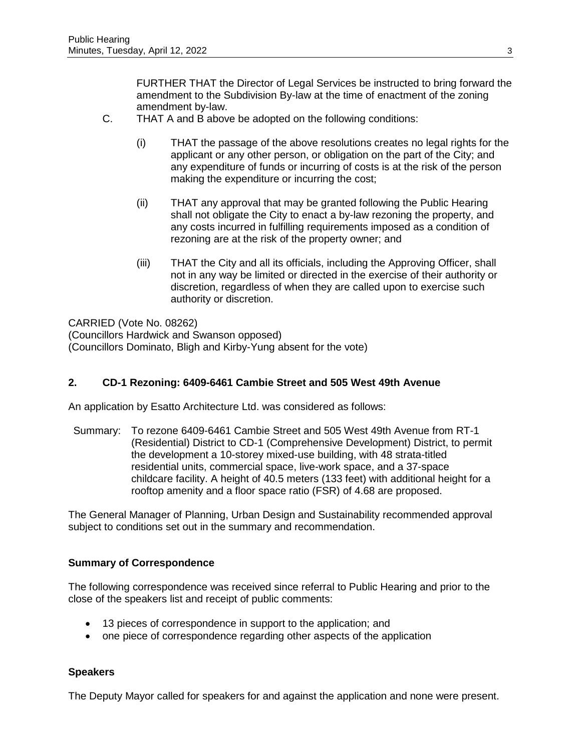FURTHER THAT the Director of Legal Services be instructed to bring forward the amendment to the Subdivision By-law at the time of enactment of the zoning amendment by-law.

- C. THAT A and B above be adopted on the following conditions:
	- (i) THAT the passage of the above resolutions creates no legal rights for the applicant or any other person, or obligation on the part of the City; and any expenditure of funds or incurring of costs is at the risk of the person making the expenditure or incurring the cost;
	- (ii) THAT any approval that may be granted following the Public Hearing shall not obligate the City to enact a by-law rezoning the property, and any costs incurred in fulfilling requirements imposed as a condition of rezoning are at the risk of the property owner; and
	- (iii) THAT the City and all its officials, including the Approving Officer, shall not in any way be limited or directed in the exercise of their authority or discretion, regardless of when they are called upon to exercise such authority or discretion.

CARRIED (Vote No. 08262) (Councillors Hardwick and Swanson opposed) (Councillors Dominato, Bligh and Kirby-Yung absent for the vote)

# **2. CD-1 Rezoning: 6409-6461 Cambie Street and 505 West 49th Avenue**

An application by Esatto Architecture Ltd. was considered as follows:

Summary: To rezone 6409-6461 Cambie Street and 505 West 49th Avenue from RT-1 (Residential) District to CD-1 (Comprehensive Development) District, to permit the development a 10-storey mixed-use building, with 48 strata-titled residential units, commercial space, live-work space, and a 37-space childcare facility. A height of 40.5 meters (133 feet) with additional height for a rooftop amenity and a floor space ratio (FSR) of 4.68 are proposed.

The General Manager of Planning, Urban Design and Sustainability recommended approval subject to conditions set out in the summary and recommendation.

# **Summary of Correspondence**

The following correspondence was received since referral to Public Hearing and prior to the close of the speakers list and receipt of public comments:

- 13 pieces of correspondence in support to the application; and
- one piece of correspondence regarding other aspects of the application

#### **Speakers**

The Deputy Mayor called for speakers for and against the application and none were present.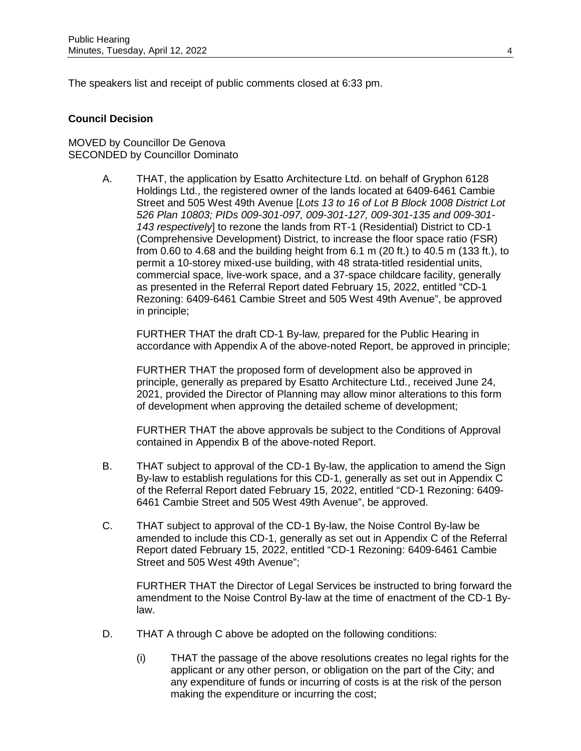The speakers list and receipt of public comments closed at 6:33 pm.

#### **Council Decision**

MOVED by Councillor De Genova SECONDED by Councillor Dominato

> A. THAT, the application by Esatto Architecture Ltd. on behalf of Gryphon 6128 Holdings Ltd., the registered owner of the lands located at 6409-6461 Cambie Street and 505 West 49th Avenue [*Lots 13 to 16 of Lot B Block 1008 District Lot 526 Plan 10803; PIDs 009-301-097, 009-301-127, 009-301-135 and 009-301- 143 respectively*] to rezone the lands from RT-1 (Residential) District to CD-1 (Comprehensive Development) District, to increase the floor space ratio (FSR) from 0.60 to 4.68 and the building height from 6.1 m (20 ft.) to 40.5 m (133 ft.), to permit a 10-storey mixed-use building, with 48 strata-titled residential units, commercial space, live-work space, and a 37-space childcare facility, generally as presented in the Referral Report dated February 15, 2022, entitled "CD-1 Rezoning: 6409-6461 Cambie Street and 505 West 49th Avenue", be approved in principle;

FURTHER THAT the draft CD-1 By-law, prepared for the Public Hearing in accordance with Appendix A of the above-noted Report, be approved in principle;

FURTHER THAT the proposed form of development also be approved in principle, generally as prepared by Esatto Architecture Ltd., received June 24, 2021, provided the Director of Planning may allow minor alterations to this form of development when approving the detailed scheme of development;

FURTHER THAT the above approvals be subject to the Conditions of Approval contained in Appendix B of the above-noted Report.

- B. THAT subject to approval of the CD-1 By-law, the application to amend the Sign By-law to establish regulations for this CD-1, generally as set out in Appendix C of the Referral Report dated February 15, 2022, entitled "CD-1 Rezoning: 6409- 6461 Cambie Street and 505 West 49th Avenue", be approved.
- C. THAT subject to approval of the CD-1 By-law, the Noise Control By-law be amended to include this CD-1, generally as set out in Appendix C of the Referral Report dated February 15, 2022, entitled "CD-1 Rezoning: 6409-6461 Cambie Street and 505 West 49th Avenue";

FURTHER THAT the Director of Legal Services be instructed to bring forward the amendment to the Noise Control By-law at the time of enactment of the CD-1 Bylaw.

- D. THAT A through C above be adopted on the following conditions:
	- (i) THAT the passage of the above resolutions creates no legal rights for the applicant or any other person, or obligation on the part of the City; and any expenditure of funds or incurring of costs is at the risk of the person making the expenditure or incurring the cost;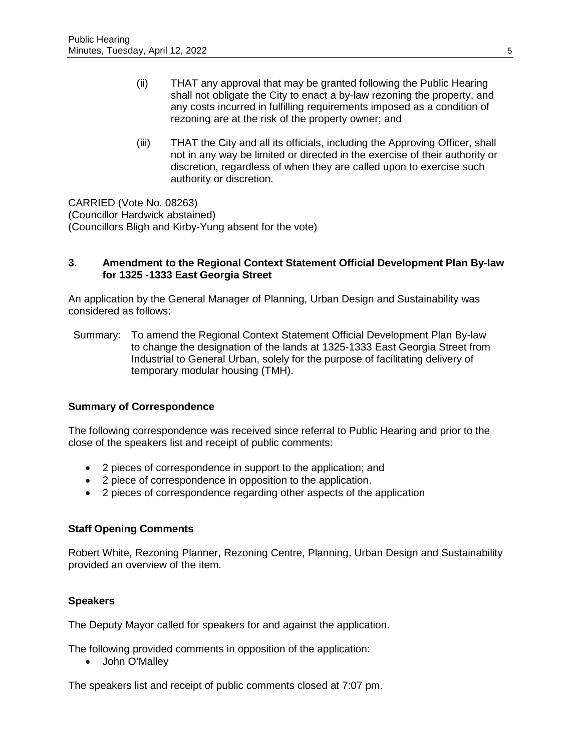- (ii) THAT any approval that may be granted following the Public Hearing shall not obligate the City to enact a by-law rezoning the property, and any costs incurred in fulfilling requirements imposed as a condition of rezoning are at the risk of the property owner; and
- (iii) THAT the City and all its officials, including the Approving Officer, shall not in any way be limited or directed in the exercise of their authority or discretion, regardless of when they are called upon to exercise such authority or discretion.

CARRIED (Vote No. 08263) (Councillor Hardwick abstained) (Councillors Bligh and Kirby-Yung absent for the vote)

#### **3. Amendment to the Regional Context Statement Official Development Plan By-law for 1325 -1333 East Georgia Street**

An application by the General Manager of Planning, Urban Design and Sustainability was considered as follows:

Summary: To amend the Regional Context Statement Official Development Plan By-law to change the designation of the lands at 1325-1333 East Georgia Street from Industrial to General Urban, solely for the purpose of facilitating delivery of temporary modular housing (TMH).

# **Summary of Correspondence**

The following correspondence was received since referral to Public Hearing and prior to the close of the speakers list and receipt of public comments:

- 2 pieces of correspondence in support to the application; and
- 2 piece of correspondence in opposition to the application.
- 2 pieces of correspondence regarding other aspects of the application

# **Staff Opening Comments**

Robert White, Rezoning Planner, Rezoning Centre, Planning, Urban Design and Sustainability provided an overview of the item.

# **Speakers**

The Deputy Mayor called for speakers for and against the application.

The following provided comments in opposition of the application:

• John O'Malley

The speakers list and receipt of public comments closed at 7:07 pm.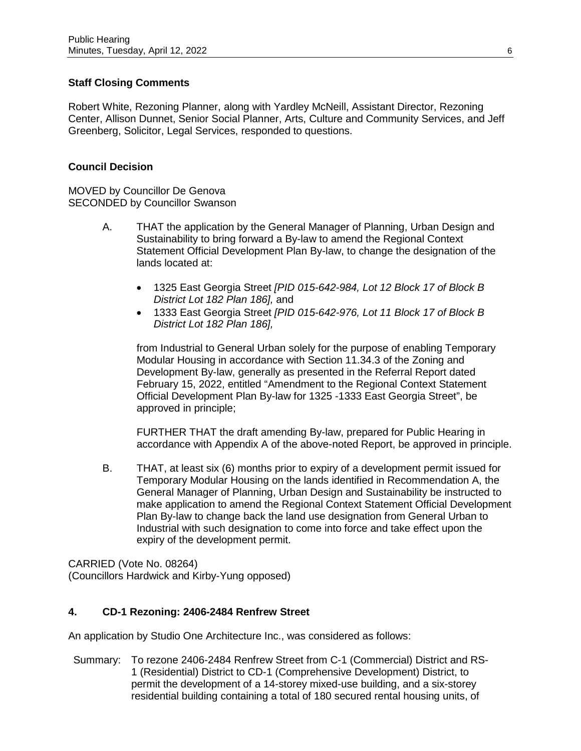# **Staff Closing Comments**

Robert White, Rezoning Planner, along with Yardley McNeill, Assistant Director, Rezoning Center, Allison Dunnet, Senior Social Planner, Arts, Culture and Community Services, and Jeff Greenberg, Solicitor, Legal Services, responded to questions.

#### **Council Decision**

MOVED by Councillor De Genova SECONDED by Councillor Swanson

- A. THAT the application by the General Manager of Planning, Urban Design and Sustainability to bring forward a By-law to amend the Regional Context Statement Official Development Plan By-law, to change the designation of the lands located at:
	- 1325 East Georgia Street *[PID 015-642-984, Lot 12 Block 17 of Block B District Lot 182 Plan 186],* and
	- 1333 East Georgia Street *[PID 015-642-976, Lot 11 Block 17 of Block B District Lot 182 Plan 186],*

from Industrial to General Urban solely for the purpose of enabling Temporary Modular Housing in accordance with Section 11.34.3 of the Zoning and Development By-law, generally as presented in the Referral Report dated February 15, 2022, entitled "Amendment to the Regional Context Statement Official Development Plan By-law for 1325 -1333 East Georgia Street", be approved in principle;

FURTHER THAT the draft amending By-law, prepared for Public Hearing in accordance with Appendix A of the above-noted Report, be approved in principle.

B. THAT, at least six (6) months prior to expiry of a development permit issued for Temporary Modular Housing on the lands identified in Recommendation A, the General Manager of Planning, Urban Design and Sustainability be instructed to make application to amend the Regional Context Statement Official Development Plan By-law to change back the land use designation from General Urban to Industrial with such designation to come into force and take effect upon the expiry of the development permit.

CARRIED (Vote No. 08264) (Councillors Hardwick and Kirby-Yung opposed)

# **4. CD-1 Rezoning: 2406-2484 Renfrew Street**

An application by Studio One Architecture Inc., was considered as follows:

Summary: To rezone 2406-2484 Renfrew Street from C-1 (Commercial) District and RS-1 (Residential) District to CD-1 (Comprehensive Development) District, to permit the development of a 14-storey mixed-use building, and a six-storey residential building containing a total of 180 secured rental housing units, of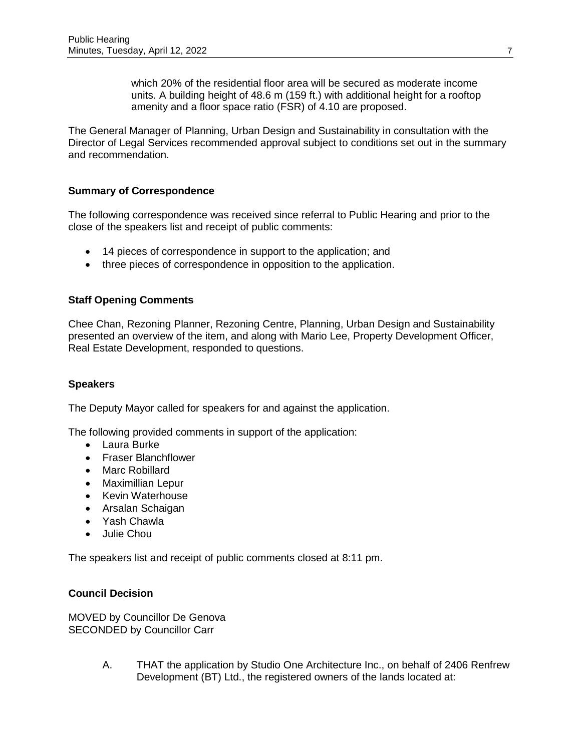which 20% of the residential floor area will be secured as moderate income units. A building height of 48.6 m (159 ft.) with additional height for a rooftop amenity and a floor space ratio (FSR) of 4.10 are proposed.

The General Manager of Planning, Urban Design and Sustainability in consultation with the Director of Legal Services recommended approval subject to conditions set out in the summary and recommendation.

# **Summary of Correspondence**

The following correspondence was received since referral to Public Hearing and prior to the close of the speakers list and receipt of public comments:

- 14 pieces of correspondence in support to the application; and
- three pieces of correspondence in opposition to the application.

# **Staff Opening Comments**

Chee Chan, Rezoning Planner, Rezoning Centre, Planning, Urban Design and Sustainability presented an overview of the item, and along with Mario Lee, Property Development Officer, Real Estate Development, responded to questions.

# **Speakers**

The Deputy Mayor called for speakers for and against the application.

The following provided comments in support of the application:

- Laura Burke
- Fraser Blanchflower
- Marc Robillard
- Maximillian Lepur
- Kevin Waterhouse
- Arsalan Schaigan
- Yash Chawla
- Julie Chou

The speakers list and receipt of public comments closed at 8:11 pm.

# **Council Decision**

MOVED by Councillor De Genova SECONDED by Councillor Carr

> A. THAT the application by Studio One Architecture Inc., on behalf of 2406 Renfrew Development (BT) Ltd., the registered owners of the lands located at: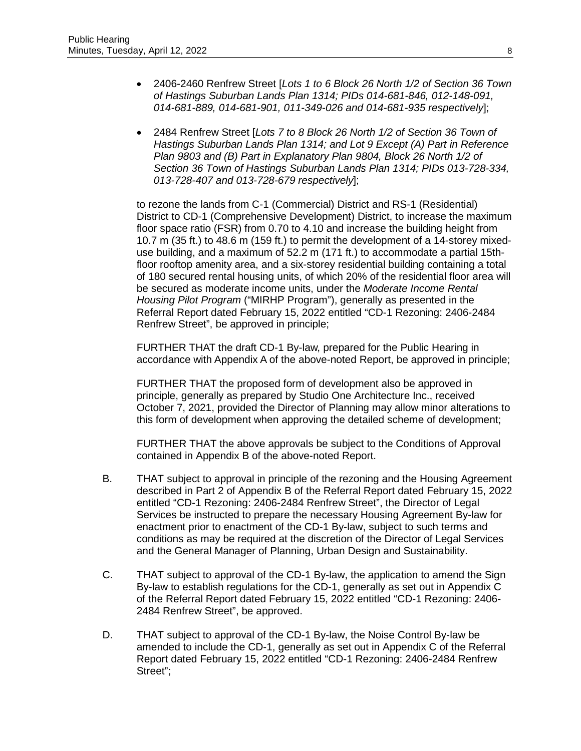- 2406-2460 Renfrew Street [*Lots 1 to 6 Block 26 North 1/2 of Section 36 Town of Hastings Suburban Lands Plan 1314; PIDs 014-681-846, 012-148-091, 014-681-889, 014-681-901, 011-349-026 and 014-681-935 respectively*];
- 2484 Renfrew Street [*Lots 7 to 8 Block 26 North 1/2 of Section 36 Town of Hastings Suburban Lands Plan 1314; and Lot 9 Except (A) Part in Reference Plan 9803 and (B) Part in Explanatory Plan 9804, Block 26 North 1/2 of Section 36 Town of Hastings Suburban Lands Plan 1314; PIDs 013-728-334, 013-728-407 and 013-728-679 respectively*];

to rezone the lands from C-1 (Commercial) District and RS-1 (Residential) District to CD-1 (Comprehensive Development) District, to increase the maximum floor space ratio (FSR) from 0.70 to 4.10 and increase the building height from 10.7 m (35 ft.) to 48.6 m (159 ft.) to permit the development of a 14-storey mixeduse building, and a maximum of 52.2 m (171 ft.) to accommodate a partial 15thfloor rooftop amenity area, and a six-storey residential building containing a total of 180 secured rental housing units, of which 20% of the residential floor area will be secured as moderate income units, under the *Moderate Income Rental Housing Pilot Program* ("MIRHP Program"), generally as presented in the Referral Report dated February 15, 2022 entitled "CD-1 Rezoning: 2406-2484 Renfrew Street", be approved in principle;

FURTHER THAT the draft CD-1 By-law, prepared for the Public Hearing in accordance with Appendix A of the above-noted Report, be approved in principle;

FURTHER THAT the proposed form of development also be approved in principle, generally as prepared by Studio One Architecture Inc., received October 7, 2021, provided the Director of Planning may allow minor alterations to this form of development when approving the detailed scheme of development;

FURTHER THAT the above approvals be subject to the Conditions of Approval contained in Appendix B of the above-noted Report.

- B. THAT subject to approval in principle of the rezoning and the Housing Agreement described in Part 2 of Appendix B of the Referral Report dated February 15, 2022 entitled "CD-1 Rezoning: 2406-2484 Renfrew Street", the Director of Legal Services be instructed to prepare the necessary Housing Agreement By-law for enactment prior to enactment of the CD-1 By-law, subject to such terms and conditions as may be required at the discretion of the Director of Legal Services and the General Manager of Planning, Urban Design and Sustainability.
- C. THAT subject to approval of the CD-1 By-law, the application to amend the Sign By-law to establish regulations for the CD-1, generally as set out in Appendix C of the Referral Report dated February 15, 2022 entitled "CD-1 Rezoning: 2406- 2484 Renfrew Street", be approved.
- D. THAT subject to approval of the CD-1 By-law, the Noise Control By-law be amended to include the CD-1, generally as set out in Appendix C of the Referral Report dated February 15, 2022 entitled "CD-1 Rezoning: 2406-2484 Renfrew Street";